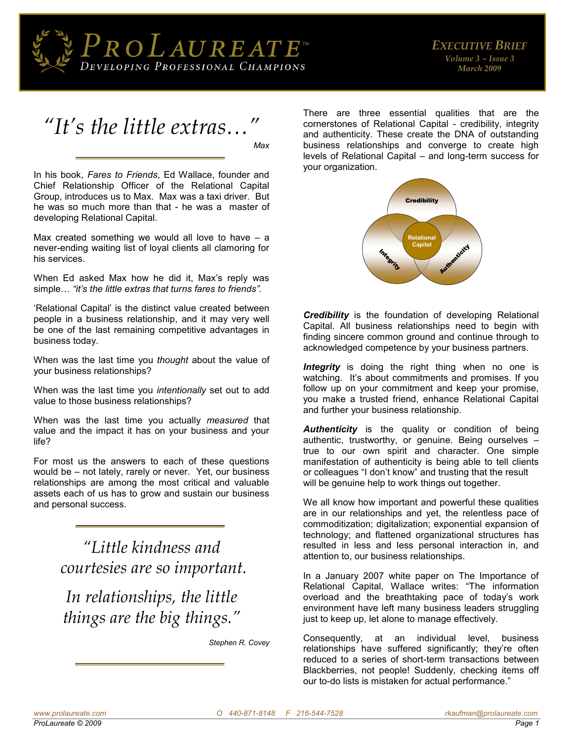



In his book, *Fares to Friends*, Ed Wallace, founder and Chief Relationship Officer of the Relational Capital Group, introduces us to Max. Max was a taxi driver. But he was so much more than that - he was a master of developing Relational Capital.

Max created something we would all love to have  $-$  a never-ending waiting list of loyal clients all clamoring for his services.

When Ed asked Max how he did it, Max's reply was simple… *"it's the little extras that turns fares to friends".*

'Relational Capital' is the distinct value created between people in a business relationship, and it may very well be one of the last remaining competitive advantages in business today.

When was the last time you *thought* about the value of your business relationships?

When was the last time you *intentionally* set out to add value to those business relationships?

When was the last time you actually *measured* that value and the impact it has on your business and your life?

For most us the answers to each of these questions would be – not lately, rarely or never. Yet, our business relationships are among the most critical and valuable assets each of us has to grow and sustain our business and personal success.

> *"Little kindness and courtesies are so important.*

*In relationships, the little things are the big things."*

*Stephen R. Covey*

There are three essential qualities that are the cornerstones of Relational Capital - credibility, integrity and authenticity. These create the DNA of outstanding business relationships and converge to create high levels of Relational Capital – and long-term success for your organization.



*Credibility* is the foundation of developing Relational Capital. All business relationships need to begin with finding sincere common ground and continue through to acknowledged competence by your business partners.

**Integrity** is doing the right thing when no one is watching. It's about commitments and promises. If you follow up on your commitment and keep your promise, you make a trusted friend, enhance Relational Capital and further your business relationship.

*Authenticity* is the quality or condition of being authentic, trustworthy, or genuine. Being ourselves – true to our own spirit and character. One simple manifestation of authenticity is being able to tell clients or colleagues "I don't know" and trusting that the result will be genuine help to work things out together.

We all know how important and powerful these qualities are in our relationships and yet, the relentless pace of commoditization; digitalization; exponential expansion of technology; and flattened organizational structures has resulted in less and less personal interaction in, and attention to, our business relationships.

In a January 2007 white paper on The Importance of Relational Capital, Wallace writes: "The information overload and the breathtaking pace of today's work environment have left many business leaders struggling just to keep up, let alone to manage effectively.

Consequently, at an individual level, business relationships have suffered significantly; they're often reduced to a series of short-term transactions between Blackberries, not people! Suddenly, checking items off our to-do lists is mistaken for actual performance."